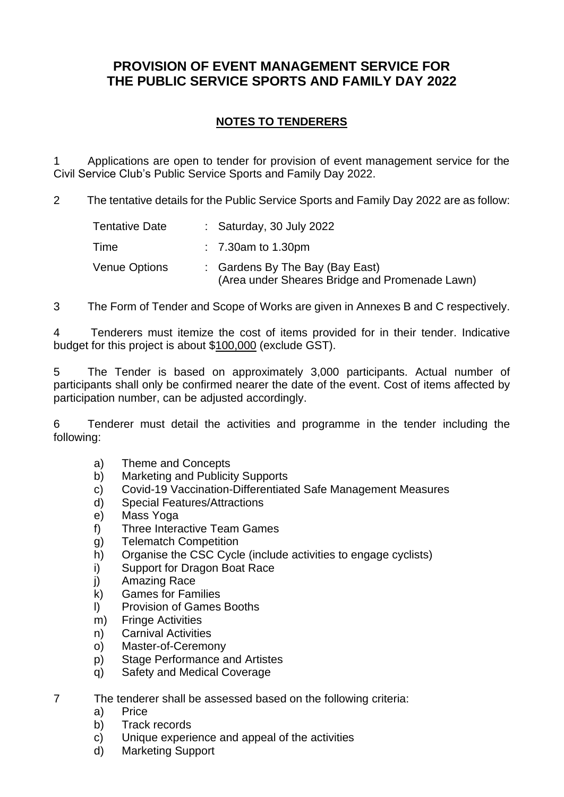# **PROVISION OF EVENT MANAGEMENT SERVICE FOR THE PUBLIC SERVICE SPORTS AND FAMILY DAY 2022**

# **NOTES TO TENDERERS**

1 Applications are open to tender for provision of event management service for the Civil Service Club's Public Service Sports and Family Day 2022.

2 The tentative details for the Public Service Sports and Family Day 2022 are as follow:

| Tentative Date | : Saturday, 30 July 2022                                                          |
|----------------|-----------------------------------------------------------------------------------|
| Time           | $\therefore$ 7.30 am to 1.30 pm                                                   |
| Venue Options  | : Gardens By The Bay (Bay East)<br>(Area under Sheares Bridge and Promenade Lawn) |

3 The Form of Tender and Scope of Works are given in Annexes B and C respectively.

4 Tenderers must itemize the cost of items provided for in their tender. Indicative budget for this project is about \$100,000 (exclude GST).

5 The Tender is based on approximately 3,000 participants. Actual number of participants shall only be confirmed nearer the date of the event. Cost of items affected by participation number, can be adjusted accordingly.

6 Tenderer must detail the activities and programme in the tender including the following:

- a) Theme and Concepts
- b) Marketing and Publicity Supports
- c) Covid-19 Vaccination-Differentiated Safe Management Measures
- d) Special Features/Attractions
- e) Mass Yoga
- f) Three Interactive Team Games
- g) Telematch Competition
- h) Organise the CSC Cycle (include activities to engage cyclists)
- i) Support for Dragon Boat Race
- j) Amazing Race
- k) Games for Families
- l) Provision of Games Booths
- m) Fringe Activities
- n) Carnival Activities
- o) Master-of-Ceremony
- p) Stage Performance and Artistes
- q) Safety and Medical Coverage
- 7 The tenderer shall be assessed based on the following criteria:
	- a) Price
	- b) Track records
	- c) Unique experience and appeal of the activities
	- d) Marketing Support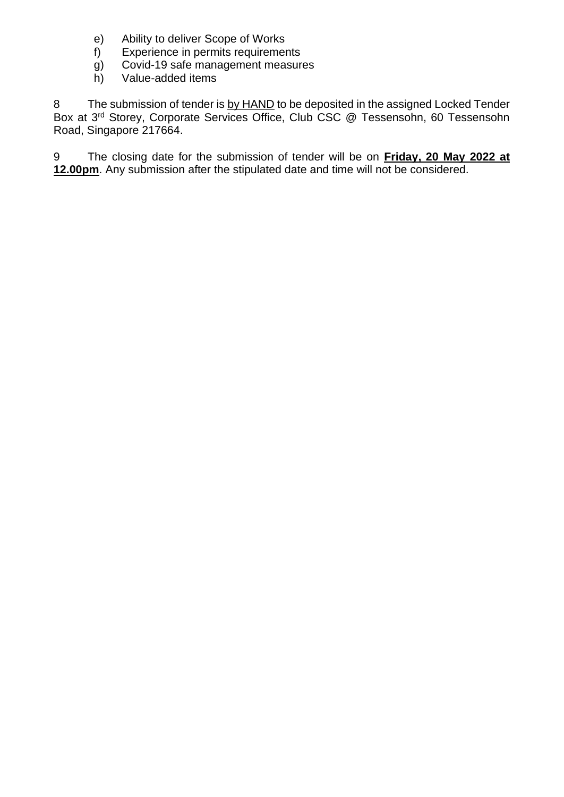- e) Ability to deliver Scope of Works
- f) Experience in permits requirements
- g) Covid-19 safe management measures
- h) Value-added items

8 The submission of tender is by HAND to be deposited in the assigned Locked Tender Box at 3rd Storey, Corporate Services Office, Club CSC @ Tessensohn, 60 Tessensohn Road, Singapore 217664.

9 The closing date for the submission of tender will be on **Friday, 20 May 2022 at 12.00pm**. Any submission after the stipulated date and time will not be considered.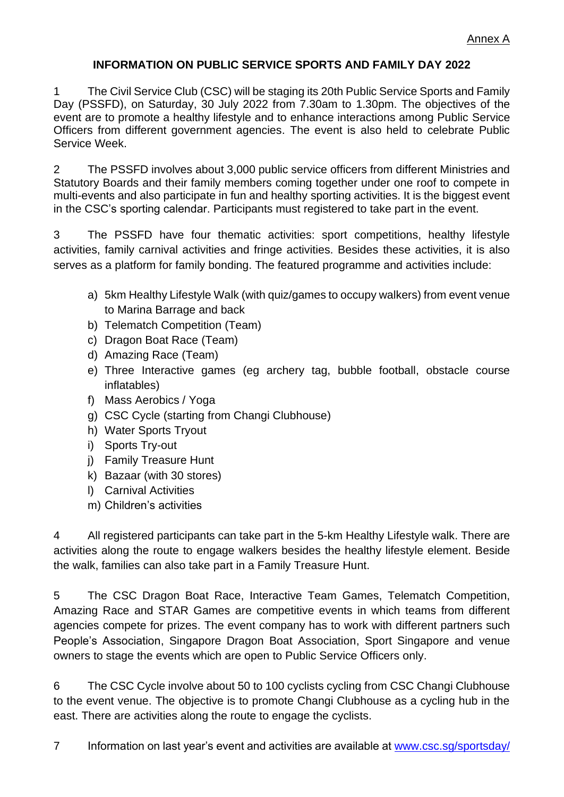#### **INFORMATION ON PUBLIC SERVICE SPORTS AND FAMILY DAY 2022**

1 The Civil Service Club (CSC) will be staging its 20th Public Service Sports and Family Day (PSSFD), on Saturday, 30 July 2022 from 7.30am to 1.30pm. The objectives of the event are to promote a healthy lifestyle and to enhance interactions among Public Service Officers from different government agencies. The event is also held to celebrate Public Service Week.

2 The PSSFD involves about 3,000 public service officers from different Ministries and Statutory Boards and their family members coming together under one roof to compete in multi-events and also participate in fun and healthy sporting activities. It is the biggest event in the CSC's sporting calendar. Participants must registered to take part in the event.

3 The PSSFD have four thematic activities: sport competitions, healthy lifestyle activities, family carnival activities and fringe activities. Besides these activities, it is also serves as a platform for family bonding. The featured programme and activities include:

- a) 5km Healthy Lifestyle Walk (with quiz/games to occupy walkers) from event venue to Marina Barrage and back
- b) Telematch Competition (Team)
- c) Dragon Boat Race (Team)
- d) Amazing Race (Team)
- e) Three Interactive games (eg archery tag, bubble football, obstacle course inflatables)
- f) Mass Aerobics / Yoga
- g) CSC Cycle (starting from Changi Clubhouse)
- h) Water Sports Tryout
- i) Sports Try-out
- j) Family Treasure Hunt
- k) Bazaar (with 30 stores)
- l) Carnival Activities
- m) Children's activities

4 All registered participants can take part in the 5-km Healthy Lifestyle walk. There are activities along the route to engage walkers besides the healthy lifestyle element. Beside the walk, families can also take part in a Family Treasure Hunt.

5 The CSC Dragon Boat Race, Interactive Team Games, Telematch Competition, Amazing Race and STAR Games are competitive events in which teams from different agencies compete for prizes. The event company has to work with different partners such People's Association, Singapore Dragon Boat Association, Sport Singapore and venue owners to stage the events which are open to Public Service Officers only.

6 The CSC Cycle involve about 50 to 100 cyclists cycling from CSC Changi Clubhouse to the event venue. The objective is to promote Changi Clubhouse as a cycling hub in the east. There are activities along the route to engage the cyclists.

7 Information on last year's event and activities are available at [www.csc.sg/sportsday/](http://www.csc.sg/sportsday/)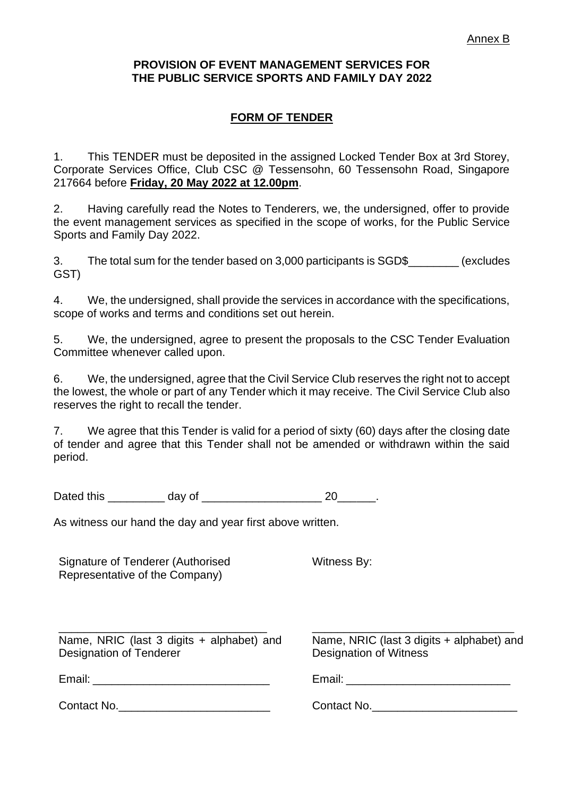#### **PROVISION OF EVENT MANAGEMENT SERVICES FOR THE PUBLIC SERVICE SPORTS AND FAMILY DAY 2022**

## **FORM OF TENDER**

1. This TENDER must be deposited in the assigned Locked Tender Box at 3rd Storey, Corporate Services Office, Club CSC @ Tessensohn, 60 Tessensohn Road, Singapore 217664 before **Friday, 20 May 2022 at 12.00pm**.

2. Having carefully read the Notes to Tenderers, we, the undersigned, offer to provide the event management services as specified in the scope of works, for the Public Service Sports and Family Day 2022.

3. The total sum for the tender based on 3,000 participants is SGD\$ (excludes GST)

4. We, the undersigned, shall provide the services in accordance with the specifications, scope of works and terms and conditions set out herein.

5. We, the undersigned, agree to present the proposals to the CSC Tender Evaluation Committee whenever called upon.

6. We, the undersigned, agree that the Civil Service Club reserves the right not to accept the lowest, the whole or part of any Tender which it may receive. The Civil Service Club also reserves the right to recall the tender.

7. We agree that this Tender is valid for a period of sixty (60) days after the closing date of tender and agree that this Tender shall not be amended or withdrawn within the said period.

Dated this day of 20 and 20 and 20 and 20 and 20 and 20 and 20 and 20 and 20 and 20 and 20 and 20

As witness our hand the day and year first above written.

Signature of Tenderer (Authorised Representative of the Company)

Witness By:

\_\_\_\_\_\_\_\_\_\_\_\_\_\_\_\_\_\_\_\_\_\_\_\_\_\_\_\_\_\_\_\_\_ Name, NRIC (last 3 digits + alphabet) and Designation of Tenderer

Email:  $\blacksquare$ 

Contact No.

\_\_\_\_\_\_\_\_\_\_\_\_\_\_\_\_\_\_\_\_\_\_\_\_\_\_\_\_\_\_\_\_ Name, NRIC (last 3 digits + alphabet) and Designation of Witness

Email: **Email:**  $\blacksquare$ 

Contact No.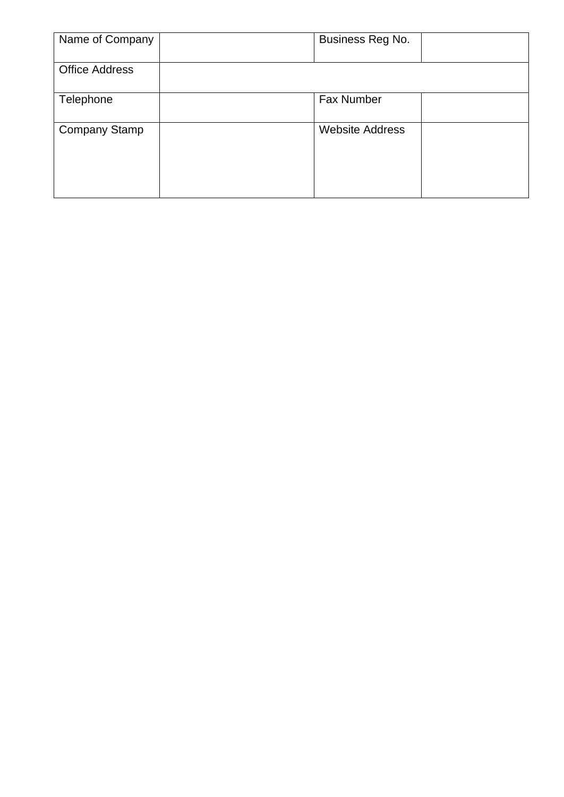| Name of Company       | Business Reg No.       |
|-----------------------|------------------------|
| <b>Office Address</b> |                        |
| Telephone             | <b>Fax Number</b>      |
| <b>Company Stamp</b>  | <b>Website Address</b> |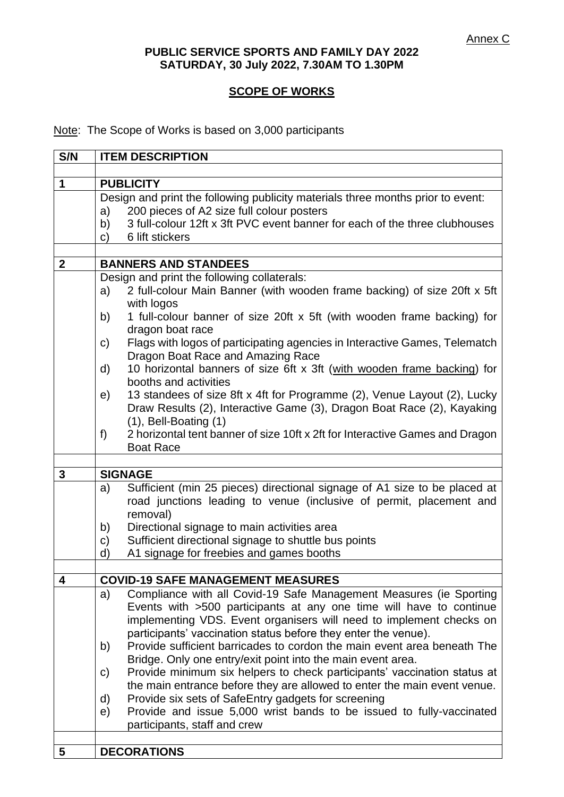#### **PUBLIC SERVICE SPORTS AND FAMILY DAY 2022 SATURDAY, 30 July 2022, 7.30AM TO 1.30PM**

## **SCOPE OF WORKS**

Note: The Scope of Works is based on 3,000 participants

| S/N          | <b>ITEM DESCRIPTION</b>                                                                  |
|--------------|------------------------------------------------------------------------------------------|
|              |                                                                                          |
| 1            | <b>PUBLICITY</b>                                                                         |
|              | Design and print the following publicity materials three months prior to event:          |
|              | 200 pieces of A2 size full colour posters<br>a)                                          |
|              | 3 full-colour 12ft x 3ft PVC event banner for each of the three clubhouses<br>b)         |
|              | 6 lift stickers<br>C)                                                                    |
| $\mathbf{2}$ | <b>BANNERS AND STANDEES</b>                                                              |
|              | Design and print the following collaterals:                                              |
|              | 2 full-colour Main Banner (with wooden frame backing) of size 20ft x 5ft<br>a)           |
|              | with logos                                                                               |
|              | 1 full-colour banner of size 20ft x 5ft (with wooden frame backing) for<br>b)            |
|              | dragon boat race                                                                         |
|              | Flags with logos of participating agencies in Interactive Games, Telematch<br>C)         |
|              | Dragon Boat Race and Amazing Race                                                        |
|              | 10 horizontal banners of size 6ft x 3ft (with wooden frame backing) for<br>d)            |
|              | booths and activities                                                                    |
|              | 13 standees of size 8ft x 4ft for Programme (2), Venue Layout (2), Lucky<br>e)           |
|              | Draw Results (2), Interactive Game (3), Dragon Boat Race (2), Kayaking                   |
|              | $(1)$ , Bell-Boating $(1)$                                                               |
|              | 2 horizontal tent banner of size 10ft x 2ft for Interactive Games and Dragon<br>f        |
|              | <b>Boat Race</b>                                                                         |
|              |                                                                                          |
| $\mathbf{3}$ | <b>SIGNAGE</b>                                                                           |
|              | Sufficient (min 25 pieces) directional signage of A1 size to be placed at<br>a)          |
|              | road junctions leading to venue (inclusive of permit, placement and                      |
|              | removal)                                                                                 |
|              | Directional signage to main activities area<br>b)                                        |
|              | Sufficient directional signage to shuttle bus points<br>C)                               |
|              | A1 signage for freebies and games booths<br>d)                                           |
| 4            | <b>COVID-19 SAFE MANAGEMENT MEASURES</b>                                                 |
|              | Compliance with all Covid-19 Safe Management Measures (ie Sporting<br>a)                 |
|              | Events with >500 participants at any one time will have to continue                      |
|              | implementing VDS. Event organisers will need to implement checks on                      |
|              | participants' vaccination status before they enter the venue).                           |
|              | Provide sufficient barricades to cordon the main event area beneath The<br>b)            |
|              | Bridge. Only one entry/exit point into the main event area.                              |
|              | Provide minimum six helpers to check participants' vaccination status at<br>$\mathsf{C}$ |
|              | the main entrance before they are allowed to enter the main event venue.                 |
|              | Provide six sets of SafeEntry gadgets for screening<br>d)                                |
|              | Provide and issue 5,000 wrist bands to be issued to fully-vaccinated<br>e)               |
|              | participants, staff and crew                                                             |
|              |                                                                                          |
| 5            | <b>DECORATIONS</b>                                                                       |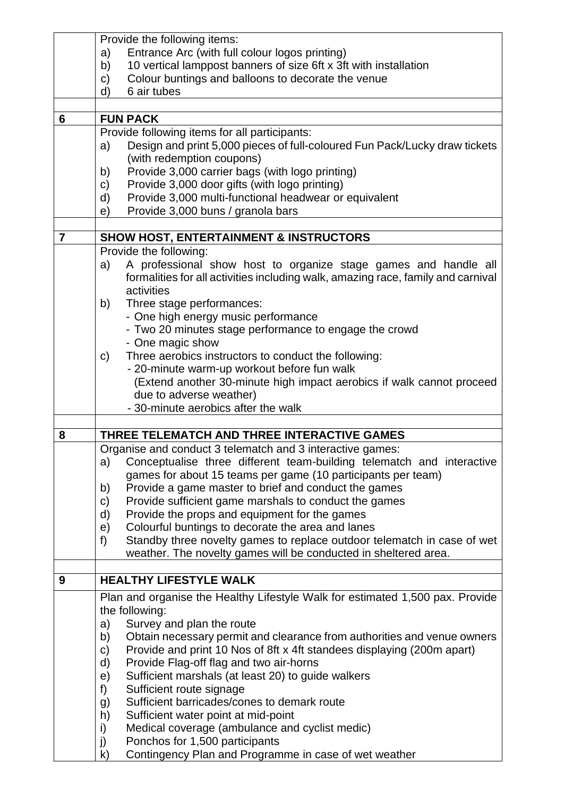|                | Provide the following items:                                                                                                                                            |
|----------------|-------------------------------------------------------------------------------------------------------------------------------------------------------------------------|
|                | Entrance Arc (with full colour logos printing)<br>a)                                                                                                                    |
|                | 10 vertical lamppost banners of size 6ft x 3ft with installation<br>b)                                                                                                  |
|                | Colour buntings and balloons to decorate the venue<br>C)                                                                                                                |
|                | $\mathsf{d}$<br>6 air tubes                                                                                                                                             |
|                |                                                                                                                                                                         |
| 6              | <b>FUN PACK</b>                                                                                                                                                         |
|                | Provide following items for all participants:                                                                                                                           |
|                | Design and print 5,000 pieces of full-coloured Fun Pack/Lucky draw tickets<br>a)<br>(with redemption coupons)                                                           |
|                | Provide 3,000 carrier bags (with logo printing)<br>b)                                                                                                                   |
|                | Provide 3,000 door gifts (with logo printing)<br>C)                                                                                                                     |
|                | Provide 3,000 multi-functional headwear or equivalent<br>d)                                                                                                             |
|                | Provide 3,000 buns / granola bars<br>e)                                                                                                                                 |
|                |                                                                                                                                                                         |
| $\overline{7}$ | <b>SHOW HOST, ENTERTAINMENT &amp; INSTRUCTORS</b>                                                                                                                       |
|                | Provide the following:                                                                                                                                                  |
|                | A professional show host to organize stage games and handle all<br>a)<br>formalities for all activities including walk, amazing race, family and carnival<br>activities |
|                | Three stage performances:<br>b)                                                                                                                                         |
|                | - One high energy music performance                                                                                                                                     |
|                | - Two 20 minutes stage performance to engage the crowd                                                                                                                  |
|                | - One magic show                                                                                                                                                        |
|                | Three aerobics instructors to conduct the following:<br>C)                                                                                                              |
|                | - 20-minute warm-up workout before fun walk                                                                                                                             |
|                | (Extend another 30-minute high impact aerobics if walk cannot proceed                                                                                                   |
|                | due to adverse weather)                                                                                                                                                 |
|                | - 30-minute aerobics after the walk                                                                                                                                     |
|                |                                                                                                                                                                         |
| 8              | THREE TELEMATCH AND THREE INTERACTIVE GAMES                                                                                                                             |
|                | Organise and conduct 3 telematch and 3 interactive games:                                                                                                               |
|                | Conceptualise three different team-building telematch and interactive<br>a)<br>games for about 15 teams per game (10 participants per team)                             |
|                | Provide a game master to brief and conduct the games<br>b)                                                                                                              |
|                | Provide sufficient game marshals to conduct the games<br>$\mathsf{C}$                                                                                                   |
|                | Provide the props and equipment for the games<br>d)                                                                                                                     |
|                | Colourful buntings to decorate the area and lanes<br>e)                                                                                                                 |
|                | Standby three novelty games to replace outdoor telematch in case of wet<br>f)                                                                                           |
|                | weather. The novelty games will be conducted in sheltered area.                                                                                                         |
|                |                                                                                                                                                                         |
| 9              | <b>HEALTHY LIFESTYLE WALK</b>                                                                                                                                           |
|                | Plan and organise the Healthy Lifestyle Walk for estimated 1,500 pax. Provide                                                                                           |
|                | the following:                                                                                                                                                          |
|                | Survey and plan the route<br>a)                                                                                                                                         |
|                | Obtain necessary permit and clearance from authorities and venue owners<br>b)                                                                                           |
|                | Provide and print 10 Nos of 8ft x 4ft standees displaying (200m apart)<br>C)                                                                                            |
|                | d)<br>Provide Flag-off flag and two air-horns                                                                                                                           |
|                | Sufficient marshals (at least 20) to guide walkers<br>e)                                                                                                                |
|                | Sufficient route signage<br>f)                                                                                                                                          |
|                | Sufficient barricades/cones to demark route<br>g)                                                                                                                       |
|                | h)<br>Sufficient water point at mid-point                                                                                                                               |
|                | Medical coverage (ambulance and cyclist medic)<br>i)                                                                                                                    |
|                | Ponchos for 1,500 participants<br>j)                                                                                                                                    |
|                | Contingency Plan and Programme in case of wet weather<br>$\mathsf{k}$                                                                                                   |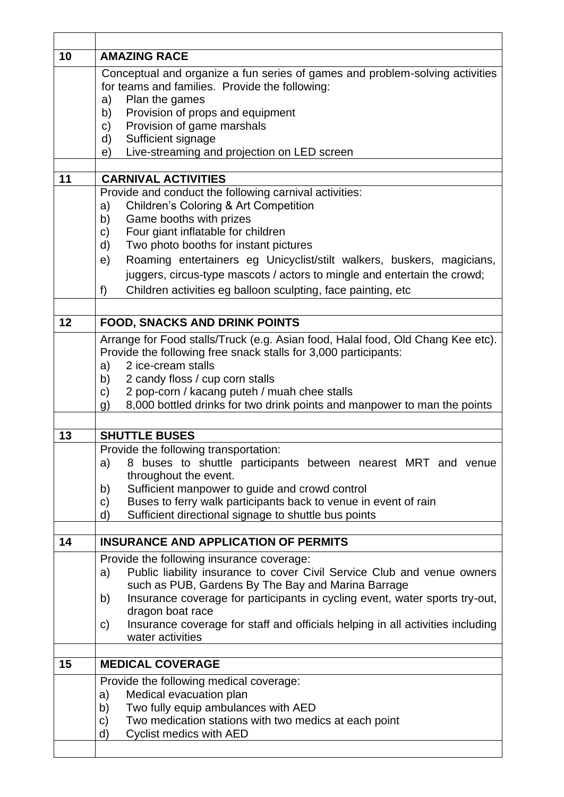| 10 | <b>AMAZING RACE</b>                                                                                   |
|----|-------------------------------------------------------------------------------------------------------|
|    | Conceptual and organize a fun series of games and problem-solving activities                          |
|    | for teams and families. Provide the following:<br>Plan the games                                      |
|    | a)<br>Provision of props and equipment<br>b)                                                          |
|    | Provision of game marshals<br>C)                                                                      |
|    | Sufficient signage<br>d)                                                                              |
|    | Live-streaming and projection on LED screen<br>e)                                                     |
| 11 | <b>CARNIVAL ACTIVITIES</b>                                                                            |
|    | Provide and conduct the following carnival activities:                                                |
|    | <b>Children's Coloring &amp; Art Competition</b><br>a)                                                |
|    | Game booths with prizes<br>b)                                                                         |
|    | Four giant inflatable for children<br>C)                                                              |
|    | Two photo booths for instant pictures<br>d)                                                           |
|    | Roaming entertainers eg Unicyclist/stilt walkers, buskers, magicians,<br>e)                           |
|    | juggers, circus-type mascots / actors to mingle and entertain the crowd;                              |
|    | Children activities eg balloon sculpting, face painting, etc<br>f)                                    |
| 12 | <b>FOOD, SNACKS AND DRINK POINTS</b>                                                                  |
|    | Arrange for Food stalls/Truck (e.g. Asian food, Halal food, Old Chang Kee etc).                       |
|    | Provide the following free snack stalls for 3,000 participants:                                       |
|    | 2 ice-cream stalls<br>a)                                                                              |
|    | 2 candy floss / cup corn stalls<br>b)                                                                 |
|    | 2 pop-corn / kacang puteh / muah chee stalls<br>C)                                                    |
|    | 8,000 bottled drinks for two drink points and manpower to man the points<br>g)                        |
| 13 | <b>SHUTTLE BUSES</b>                                                                                  |
|    | Provide the following transportation:                                                                 |
|    | a) 8 buses to shuttle participants between nearest MRT and venue                                      |
|    | throughout the event.                                                                                 |
|    | Sufficient manpower to guide and crowd control<br>b)                                                  |
|    | Buses to ferry walk participants back to venue in event of rain<br>C)                                 |
|    | Sufficient directional signage to shuttle bus points<br>d)                                            |
| 14 | <b>INSURANCE AND APPLICATION OF PERMITS</b>                                                           |
|    | Provide the following insurance coverage:                                                             |
|    | Public liability insurance to cover Civil Service Club and venue owners<br>a)                         |
|    | such as PUB, Gardens By The Bay and Marina Barrage                                                    |
|    | Insurance coverage for participants in cycling event, water sports try-out,<br>b)<br>dragon boat race |
|    | Insurance coverage for staff and officials helping in all activities including<br>C)                  |
|    | water activities                                                                                      |
| 15 | <b>MEDICAL COVERAGE</b>                                                                               |
|    | Provide the following medical coverage:                                                               |
|    | Medical evacuation plan<br>a)                                                                         |
|    | Two fully equip ambulances with AED<br>b)                                                             |
|    | Two medication stations with two medics at each point<br>C)                                           |
|    | <b>Cyclist medics with AED</b><br>d)                                                                  |
|    |                                                                                                       |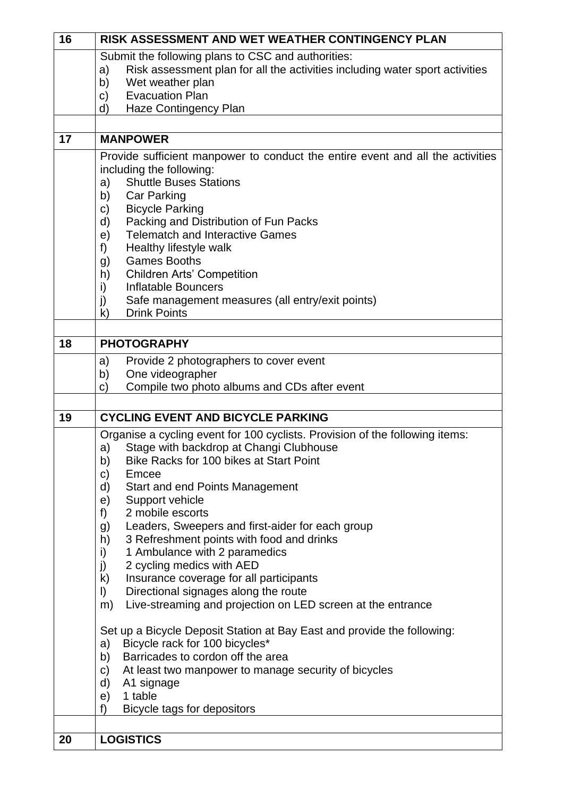| 16 | RISK ASSESSMENT AND WET WEATHER CONTINGENCY PLAN                                   |
|----|------------------------------------------------------------------------------------|
|    | Submit the following plans to CSC and authorities:                                 |
|    | Risk assessment plan for all the activities including water sport activities<br>a) |
|    | Wet weather plan<br>b)                                                             |
|    | <b>Evacuation Plan</b><br>C)                                                       |
|    | Haze Contingency Plan<br>d)                                                        |
|    |                                                                                    |
| 17 | <b>MANPOWER</b>                                                                    |
|    | Provide sufficient manpower to conduct the entire event and all the activities     |
|    | including the following:                                                           |
|    | <b>Shuttle Buses Stations</b><br>a)                                                |
|    | <b>Car Parking</b><br>b)                                                           |
|    | <b>Bicycle Parking</b><br>C)                                                       |
|    | Packing and Distribution of Fun Packs<br>d)                                        |
|    | <b>Telematch and Interactive Games</b><br>e)                                       |
|    | Healthy lifestyle walk<br>f)                                                       |
|    | <b>Games Booths</b><br>g)                                                          |
|    | <b>Children Arts' Competition</b><br>h)                                            |
|    | <b>Inflatable Bouncers</b><br>i)                                                   |
|    | Safe management measures (all entry/exit points)<br>j)                             |
|    | <b>Drink Points</b><br>k)                                                          |
| 18 | <b>PHOTOGRAPHY</b>                                                                 |
|    | Provide 2 photographers to cover event<br>a)                                       |
|    | One videographer<br>b)                                                             |
|    | Compile two photo albums and CDs after event<br>C)                                 |
|    |                                                                                    |
| 19 | <b>CYCLING EVENT AND BICYCLE PARKING</b>                                           |
|    | Organise a cycling event for 100 cyclists. Provision of the following items:       |
|    | Stage with backdrop at Changi Clubhouse<br>a)                                      |
|    | Bike Racks for 100 bikes at Start Point<br>b)                                      |
|    | C)<br>Emcee                                                                        |
|    | <b>Start and end Points Management</b><br>d)                                       |
|    | Support vehicle<br>e)                                                              |
|    | 2 mobile escorts<br>f)                                                             |
|    | Leaders, Sweepers and first-aider for each group<br>g)                             |
|    | 3 Refreshment points with food and drinks<br>h)                                    |
|    | 1 Ambulance with 2 paramedics<br>i)                                                |
|    | 2 cycling medics with AED<br>$\mathbf{j}$                                          |
|    | k)<br>Insurance coverage for all participants                                      |
|    | Directional signages along the route<br>$\vert$ )                                  |
|    | Live-streaming and projection on LED screen at the entrance<br>m)                  |
|    |                                                                                    |
|    | Set up a Bicycle Deposit Station at Bay East and provide the following:            |
|    | Bicycle rack for 100 bicycles*<br>a)<br>Barricades to cordon off the area<br>b)    |
|    | At least two manpower to manage security of bicycles<br>C)                         |
|    | A1 signage<br>d)                                                                   |
|    | 1 table<br>e)                                                                      |
|    | f)<br>Bicycle tags for depositors                                                  |
|    |                                                                                    |
| 20 | <b>LOGISTICS</b>                                                                   |
|    |                                                                                    |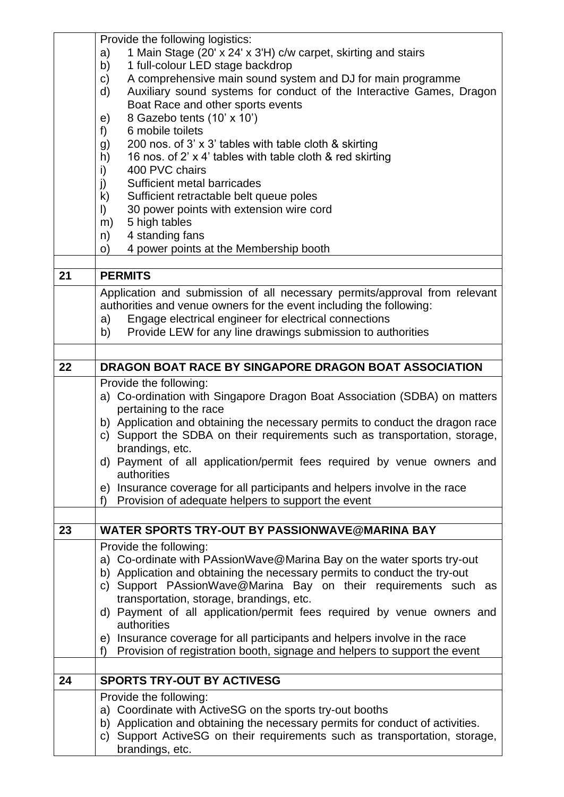|    | Provide the following logistics:                                                                                                                              |
|----|---------------------------------------------------------------------------------------------------------------------------------------------------------------|
|    | 1 Main Stage (20' x 24' x 3'H) c/w carpet, skirting and stairs<br>a)                                                                                          |
|    | 1 full-colour LED stage backdrop<br>b)                                                                                                                        |
|    | A comprehensive main sound system and DJ for main programme<br>$\mathsf{C}$                                                                                   |
|    | Auxiliary sound systems for conduct of the Interactive Games, Dragon<br>d)                                                                                    |
|    | Boat Race and other sports events                                                                                                                             |
|    | 8 Gazebo tents (10' x 10')<br>e)                                                                                                                              |
|    | 6 mobile toilets<br>f)                                                                                                                                        |
|    | 200 nos. of 3' x 3' tables with table cloth & skirting<br>g)                                                                                                  |
|    | 16 nos. of 2' x 4' tables with table cloth & red skirting<br>h)                                                                                               |
|    | 400 PVC chairs<br>i)                                                                                                                                          |
|    | j)<br>Sufficient metal barricades                                                                                                                             |
|    | k)<br>Sufficient retractable belt queue poles                                                                                                                 |
|    | 30 power points with extension wire cord<br>$\vert$                                                                                                           |
|    | 5 high tables<br>m)                                                                                                                                           |
|    | 4 standing fans<br>n)                                                                                                                                         |
|    | 4 power points at the Membership booth<br>O)                                                                                                                  |
| 21 | <b>PERMITS</b>                                                                                                                                                |
|    |                                                                                                                                                               |
|    | Application and submission of all necessary permits/approval from relevant                                                                                    |
|    | authorities and venue owners for the event including the following:                                                                                           |
|    | Engage electrical engineer for electrical connections<br>a)                                                                                                   |
|    | Provide LEW for any line drawings submission to authorities<br>b)                                                                                             |
|    |                                                                                                                                                               |
| 22 | DRAGON BOAT RACE BY SINGAPORE DRAGON BOAT ASSOCIATION                                                                                                         |
|    | Provide the following:                                                                                                                                        |
|    | a) Co-ordination with Singapore Dragon Boat Association (SDBA) on matters                                                                                     |
|    | pertaining to the race                                                                                                                                        |
|    | b) Application and obtaining the necessary permits to conduct the dragon race                                                                                 |
|    | c) Support the SDBA on their requirements such as transportation, storage,                                                                                    |
|    | brandings, etc.                                                                                                                                               |
|    | d) Payment of all application/permit fees required by venue owners and                                                                                        |
|    | authorities                                                                                                                                                   |
|    | e) Insurance coverage for all participants and helpers involve in the race                                                                                    |
|    | Provision of adequate helpers to support the event<br>f)                                                                                                      |
|    |                                                                                                                                                               |
| 23 | <b>WATER SPORTS TRY-OUT BY PASSIONWAVE@MARINA BAY</b>                                                                                                         |
|    | Provide the following:                                                                                                                                        |
|    | a) Co-ordinate with PAssionWave@Marina Bay on the water sports try-out                                                                                        |
|    | b) Application and obtaining the necessary permits to conduct the try-out                                                                                     |
|    | c) Support PAssionWave@Marina Bay on their requirements such as                                                                                               |
|    | transportation, storage, brandings, etc.                                                                                                                      |
|    | d) Payment of all application/permit fees required by venue owners and<br>authorities                                                                         |
|    |                                                                                                                                                               |
|    | e) Insurance coverage for all participants and helpers involve in the race<br>Provision of registration booth, signage and helpers to support the event<br>f) |
|    |                                                                                                                                                               |
| 24 | <b>SPORTS TRY-OUT BY ACTIVESG</b>                                                                                                                             |
|    |                                                                                                                                                               |
|    | Provide the following:                                                                                                                                        |
|    | a) Coordinate with ActiveSG on the sports try-out booths                                                                                                      |
|    | b) Application and obtaining the necessary permits for conduct of activities.                                                                                 |
|    | c) Support ActiveSG on their requirements such as transportation, storage,<br>brandings, etc.                                                                 |
|    |                                                                                                                                                               |